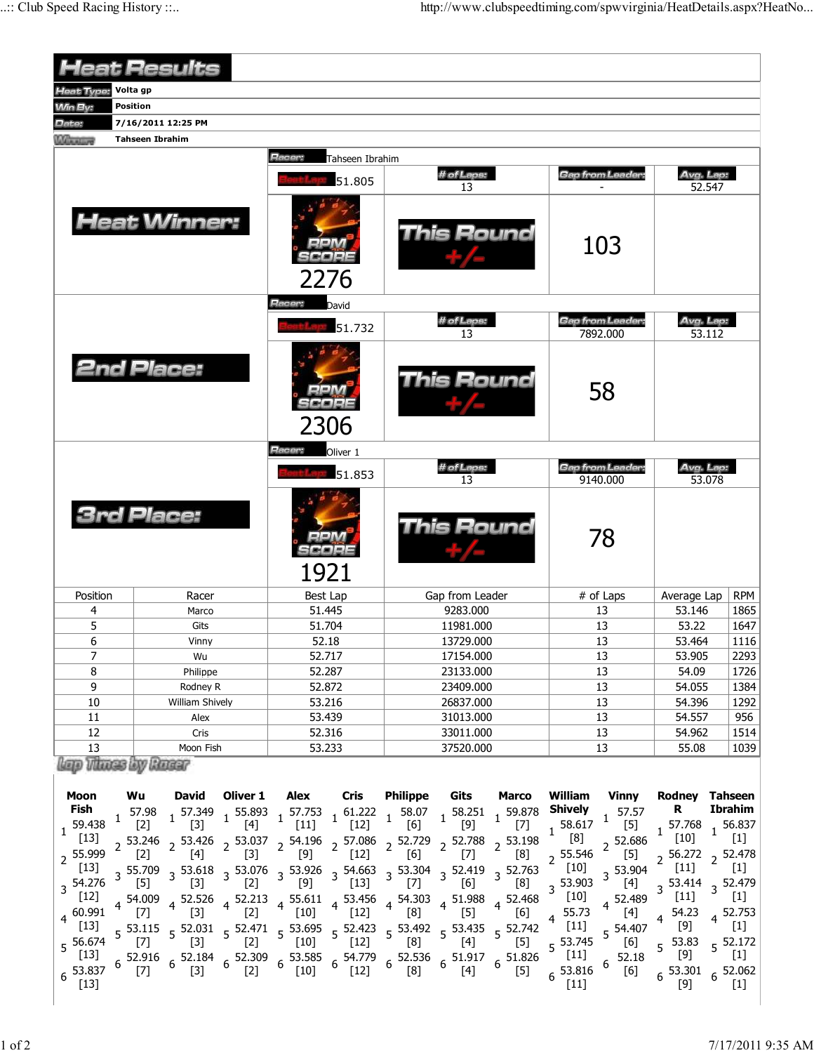| <b>Heat Results</b>                                                                                                                                    |                           |                                                                                                                                                                                                                                                                                                                                                                                                                                                                                                                                                                                                                                                                                                                                                                                                                                                                                                                                                                                     |                         |                                                                                                                                                                                                                                                                                                                                                                      |                            |                        |                                                      |                                                |                                                                                                                                                                                                                                    |                                                                                                                                 |                                                                                                                                                                                                                                                |                                                                                                                                                             |
|--------------------------------------------------------------------------------------------------------------------------------------------------------|---------------------------|-------------------------------------------------------------------------------------------------------------------------------------------------------------------------------------------------------------------------------------------------------------------------------------------------------------------------------------------------------------------------------------------------------------------------------------------------------------------------------------------------------------------------------------------------------------------------------------------------------------------------------------------------------------------------------------------------------------------------------------------------------------------------------------------------------------------------------------------------------------------------------------------------------------------------------------------------------------------------------------|-------------------------|----------------------------------------------------------------------------------------------------------------------------------------------------------------------------------------------------------------------------------------------------------------------------------------------------------------------------------------------------------------------|----------------------------|------------------------|------------------------------------------------------|------------------------------------------------|------------------------------------------------------------------------------------------------------------------------------------------------------------------------------------------------------------------------------------|---------------------------------------------------------------------------------------------------------------------------------|------------------------------------------------------------------------------------------------------------------------------------------------------------------------------------------------------------------------------------------------|-------------------------------------------------------------------------------------------------------------------------------------------------------------|
| Volta gp<br>Heat Type:                                                                                                                                 |                           |                                                                                                                                                                                                                                                                                                                                                                                                                                                                                                                                                                                                                                                                                                                                                                                                                                                                                                                                                                                     |                         |                                                                                                                                                                                                                                                                                                                                                                      |                            |                        |                                                      |                                                |                                                                                                                                                                                                                                    |                                                                                                                                 |                                                                                                                                                                                                                                                |                                                                                                                                                             |
| <b>Win By:</b>                                                                                                                                         | <b>Position</b>           |                                                                                                                                                                                                                                                                                                                                                                                                                                                                                                                                                                                                                                                                                                                                                                                                                                                                                                                                                                                     |                         |                                                                                                                                                                                                                                                                                                                                                                      |                            |                        |                                                      |                                                |                                                                                                                                                                                                                                    |                                                                                                                                 |                                                                                                                                                                                                                                                |                                                                                                                                                             |
| Date:                                                                                                                                                  | 7/16/2011 12:25 PM        |                                                                                                                                                                                                                                                                                                                                                                                                                                                                                                                                                                                                                                                                                                                                                                                                                                                                                                                                                                                     |                         |                                                                                                                                                                                                                                                                                                                                                                      |                            |                        |                                                      |                                                |                                                                                                                                                                                                                                    |                                                                                                                                 |                                                                                                                                                                                                                                                |                                                                                                                                                             |
| <b><i><u><i>Charles</i></u></i></b>                                                                                                                    | <b>Tahseen Ibrahim</b>    |                                                                                                                                                                                                                                                                                                                                                                                                                                                                                                                                                                                                                                                                                                                                                                                                                                                                                                                                                                                     |                         |                                                                                                                                                                                                                                                                                                                                                                      |                            |                        |                                                      |                                                |                                                                                                                                                                                                                                    |                                                                                                                                 |                                                                                                                                                                                                                                                |                                                                                                                                                             |
|                                                                                                                                                        | Racer:<br>Tahseen Ibrahim |                                                                                                                                                                                                                                                                                                                                                                                                                                                                                                                                                                                                                                                                                                                                                                                                                                                                                                                                                                                     |                         |                                                                                                                                                                                                                                                                                                                                                                      |                            |                        |                                                      |                                                |                                                                                                                                                                                                                                    |                                                                                                                                 |                                                                                                                                                                                                                                                |                                                                                                                                                             |
|                                                                                                                                                        |                           |                                                                                                                                                                                                                                                                                                                                                                                                                                                                                                                                                                                                                                                                                                                                                                                                                                                                                                                                                                                     |                         |                                                                                                                                                                                                                                                                                                                                                                      | 51.805                     | # of Laps:<br>13       |                                                      |                                                | <b>Gap from Leader:</b>                                                                                                                                                                                                            |                                                                                                                                 | Avg. Lap:<br>52.547                                                                                                                                                                                                                            |                                                                                                                                                             |
|                                                                                                                                                        |                           | <b>Heat Winner:</b>                                                                                                                                                                                                                                                                                                                                                                                                                                                                                                                                                                                                                                                                                                                                                                                                                                                                                                                                                                 |                         |                                                                                                                                                                                                                                                                                                                                                                      | 2276                       | This Round             |                                                      |                                                |                                                                                                                                                                                                                                    | 103                                                                                                                             |                                                                                                                                                                                                                                                |                                                                                                                                                             |
|                                                                                                                                                        |                           |                                                                                                                                                                                                                                                                                                                                                                                                                                                                                                                                                                                                                                                                                                                                                                                                                                                                                                                                                                                     |                         | Racer:<br>David                                                                                                                                                                                                                                                                                                                                                      |                            |                        |                                                      |                                                |                                                                                                                                                                                                                                    |                                                                                                                                 |                                                                                                                                                                                                                                                |                                                                                                                                                             |
|                                                                                                                                                        |                           |                                                                                                                                                                                                                                                                                                                                                                                                                                                                                                                                                                                                                                                                                                                                                                                                                                                                                                                                                                                     |                         |                                                                                                                                                                                                                                                                                                                                                                      | 51.732                     | # of Laps:             |                                                      |                                                | <b>Gap from Leader:</b>                                                                                                                                                                                                            |                                                                                                                                 | Avg. Lap:                                                                                                                                                                                                                                      |                                                                                                                                                             |
|                                                                                                                                                        |                           |                                                                                                                                                                                                                                                                                                                                                                                                                                                                                                                                                                                                                                                                                                                                                                                                                                                                                                                                                                                     |                         |                                                                                                                                                                                                                                                                                                                                                                      |                            |                        | 13                                                   |                                                | 7892.000                                                                                                                                                                                                                           |                                                                                                                                 | 53.112                                                                                                                                                                                                                                         |                                                                                                                                                             |
| <b>2nd Place:</b>                                                                                                                                      |                           |                                                                                                                                                                                                                                                                                                                                                                                                                                                                                                                                                                                                                                                                                                                                                                                                                                                                                                                                                                                     |                         |                                                                                                                                                                                                                                                                                                                                                                      | 2306                       | This Round             |                                                      |                                                | 58                                                                                                                                                                                                                                 |                                                                                                                                 |                                                                                                                                                                                                                                                |                                                                                                                                                             |
|                                                                                                                                                        |                           |                                                                                                                                                                                                                                                                                                                                                                                                                                                                                                                                                                                                                                                                                                                                                                                                                                                                                                                                                                                     |                         | <b>Racer:</b>                                                                                                                                                                                                                                                                                                                                                        | Oliver 1                   |                        |                                                      |                                                |                                                                                                                                                                                                                                    |                                                                                                                                 |                                                                                                                                                                                                                                                |                                                                                                                                                             |
|                                                                                                                                                        |                           |                                                                                                                                                                                                                                                                                                                                                                                                                                                                                                                                                                                                                                                                                                                                                                                                                                                                                                                                                                                     |                         |                                                                                                                                                                                                                                                                                                                                                                      | 51.853                     | # of Laps:<br>13       |                                                      |                                                | <b>Gap from Leader:</b><br>9140.000                                                                                                                                                                                                |                                                                                                                                 | Avg. Lap:<br>53.078                                                                                                                                                                                                                            |                                                                                                                                                             |
| <b>3rd Place:</b>                                                                                                                                      |                           |                                                                                                                                                                                                                                                                                                                                                                                                                                                                                                                                                                                                                                                                                                                                                                                                                                                                                                                                                                                     |                         | 1921                                                                                                                                                                                                                                                                                                                                                                 |                            | This Round             |                                                      |                                                | 78                                                                                                                                                                                                                                 |                                                                                                                                 |                                                                                                                                                                                                                                                |                                                                                                                                                             |
| Position                                                                                                                                               |                           | Racer                                                                                                                                                                                                                                                                                                                                                                                                                                                                                                                                                                                                                                                                                                                                                                                                                                                                                                                                                                               |                         | Best Lap                                                                                                                                                                                                                                                                                                                                                             |                            | Gap from Leader        |                                                      |                                                | # of Laps                                                                                                                                                                                                                          |                                                                                                                                 | Average Lap                                                                                                                                                                                                                                    | <b>RPM</b>                                                                                                                                                  |
| 4                                                                                                                                                      |                           | Marco                                                                                                                                                                                                                                                                                                                                                                                                                                                                                                                                                                                                                                                                                                                                                                                                                                                                                                                                                                               |                         | 51.445                                                                                                                                                                                                                                                                                                                                                               |                            | 9283.000               |                                                      |                                                | 13                                                                                                                                                                                                                                 |                                                                                                                                 | 53.146                                                                                                                                                                                                                                         | 1865                                                                                                                                                        |
| 5                                                                                                                                                      |                           | Gits                                                                                                                                                                                                                                                                                                                                                                                                                                                                                                                                                                                                                                                                                                                                                                                                                                                                                                                                                                                |                         | 51.704                                                                                                                                                                                                                                                                                                                                                               |                            | 11981.000              |                                                      |                                                | 13                                                                                                                                                                                                                                 |                                                                                                                                 | 53.22                                                                                                                                                                                                                                          | 1647                                                                                                                                                        |
| 6                                                                                                                                                      |                           | Vinny                                                                                                                                                                                                                                                                                                                                                                                                                                                                                                                                                                                                                                                                                                                                                                                                                                                                                                                                                                               |                         | 52.18                                                                                                                                                                                                                                                                                                                                                                |                            | 13729.000              |                                                      |                                                | 13                                                                                                                                                                                                                                 |                                                                                                                                 | 53.464                                                                                                                                                                                                                                         | 1116                                                                                                                                                        |
| 7                                                                                                                                                      |                           | Wu                                                                                                                                                                                                                                                                                                                                                                                                                                                                                                                                                                                                                                                                                                                                                                                                                                                                                                                                                                                  |                         | 52.717                                                                                                                                                                                                                                                                                                                                                               |                            | 17154.000              |                                                      |                                                | 13                                                                                                                                                                                                                                 |                                                                                                                                 | 53.905                                                                                                                                                                                                                                         | 2293                                                                                                                                                        |
| 8                                                                                                                                                      |                           | Philippe                                                                                                                                                                                                                                                                                                                                                                                                                                                                                                                                                                                                                                                                                                                                                                                                                                                                                                                                                                            |                         | 52.287                                                                                                                                                                                                                                                                                                                                                               |                            | 23133.000              |                                                      |                                                | 13                                                                                                                                                                                                                                 |                                                                                                                                 | 54.09                                                                                                                                                                                                                                          | 1726                                                                                                                                                        |
| 9                                                                                                                                                      |                           | Rodney R                                                                                                                                                                                                                                                                                                                                                                                                                                                                                                                                                                                                                                                                                                                                                                                                                                                                                                                                                                            |                         | 52.872                                                                                                                                                                                                                                                                                                                                                               |                            | 23409.000              |                                                      |                                                | 13                                                                                                                                                                                                                                 |                                                                                                                                 | 54.055                                                                                                                                                                                                                                         | 1384                                                                                                                                                        |
| 10                                                                                                                                                     |                           | William Shively                                                                                                                                                                                                                                                                                                                                                                                                                                                                                                                                                                                                                                                                                                                                                                                                                                                                                                                                                                     |                         | 53.216<br>53.439                                                                                                                                                                                                                                                                                                                                                     |                            | 26837.000              |                                                      |                                                | 13<br>13                                                                                                                                                                                                                           |                                                                                                                                 | 54.396                                                                                                                                                                                                                                         | 1292                                                                                                                                                        |
| 11<br>12                                                                                                                                               |                           | Alex<br>Cris                                                                                                                                                                                                                                                                                                                                                                                                                                                                                                                                                                                                                                                                                                                                                                                                                                                                                                                                                                        |                         | 52.316                                                                                                                                                                                                                                                                                                                                                               |                            | 31013.000<br>33011.000 |                                                      |                                                | 13                                                                                                                                                                                                                                 |                                                                                                                                 | 54.557<br>54.962                                                                                                                                                                                                                               | 956<br>1514                                                                                                                                                 |
| 13                                                                                                                                                     | Moon Fish                 |                                                                                                                                                                                                                                                                                                                                                                                                                                                                                                                                                                                                                                                                                                                                                                                                                                                                                                                                                                                     | 53.233                  |                                                                                                                                                                                                                                                                                                                                                                      | 37520.000                  |                        |                                                      | 13                                             |                                                                                                                                                                                                                                    | 55.08                                                                                                                           | 1039                                                                                                                                                                                                                                           |                                                                                                                                                             |
|                                                                                                                                                        |                           | lop Those by Roser                                                                                                                                                                                                                                                                                                                                                                                                                                                                                                                                                                                                                                                                                                                                                                                                                                                                                                                                                                  |                         |                                                                                                                                                                                                                                                                                                                                                                      |                            |                        |                                                      |                                                |                                                                                                                                                                                                                                    |                                                                                                                                 |                                                                                                                                                                                                                                                |                                                                                                                                                             |
| Moon<br>Fish<br>59.438<br>$[13]$<br>2 55.999<br>$[13]$<br>3 54.276<br>$[12]$<br>$4^{60.991}$<br>$[13]$<br>5 56.674<br>$[13]$<br>$6^{53.837}$<br>$[13]$ | Wu<br>$1^{57.98}$         | David<br>$[2]$<br>$[3]$<br>$\ 2\quad \  2\quad \  53.246 \quad \  2\quad \  53.426 \quad \  2\quad \  53.037 \quad \  2\quad \  54.196 \quad \  2\quad \  57.086 \quad \  2\quad \  52.729 \quad \  2\quad \  52.788 \quad \  2\quad \  53.198 \quad \  2\quad \  12] \qquad \  2\quad \  16] \qquad \  2\quad \  17] \qquad \  2\quad \  18]$<br>$3\frac{55.709}{53}$ $3\frac{53.618}{53}$ $3\frac{53.076}{53}$ $3\frac{53.926}{53}$ $3\frac{54.663}{54.33}$ $3\frac{53.304}{571}$ $3\frac{52.419}{561}$ $3\frac{52.763}{561}$<br>$[3]$<br>[5]<br>4 54.009<br>$\lceil 7 \rceil$<br>5 53.115 5 52.031 5 52.471 5 53.695 5 52.423 5 53.492 5 53.435 5 52.742<br>[7] 5 [3] 5 [2] 5 [10] 5 [12] 5 [8] 5 [4] 5 [5]<br>$6\begin{array}{cc} 52.916 & 52.184 \\ 6 & 53.184 & 6 \end{array}$ $6\begin{array}{cc} 52.309 & 653.585 \\ 53.182 & 65.585 \\ 6 & 54.21 & 6 \end{array}$ $6\begin{array}{cc} 52.536 & 51.917 \\ 52.536 & 65.1917 \\ 6 & 56.121 & 6 \end{array}$<br>$[3]$<br>$[7]$ | $[4]$<br>$[2]$<br>$[2]$ | Oliver 1 Alex Cris<br>1 57.349 1 55.893 1 57.753 1 61.222 1 58.07 1 58.251 1 59.878<br>$[11]$<br>[9]<br>4 $\begin{array}{ccccccccc} 4 & 52.526 & 4 & 52.213 & 4 & 55.611 & 4 & 53.456 & 4 & 54.303 & 4 & 51.988 & 4 & 52.468 \\ \hline \text{[3]} & & \text{[2]} & & \text{[10]} & & \text{[12]} & & \text{[8]} & & \text{[5]} & & \text{[6]} \end{array}$<br>$[10]$ | $[12]$<br>$[13]$<br>$[12]$ | [6]<br>$[7]$<br>[8]    | <b>Philippe Gits</b><br>$[9]$<br>[6]<br>[4]<br>$[4]$ | <b>Marco</b><br>$[7]$<br>[8]<br>$[5]$<br>$[5]$ | William<br><b>Shively</b><br>$1\frac{58.617}{5}$<br>$\left[8\right]$<br>$2^{55.546}$<br>$^{\sim}$ [10]<br>$3\frac{53.903}{54.03}$<br>$[10]$<br>$4\frac{55.73}{ }$<br>$[11]$<br>5 53.745<br>$[11]$<br>$6\frac{53.816}{5}$<br>$[11]$ | Vinny<br>$1^{57.57}$<br>$[5]$<br>$2^{52.686}$<br>$[5]$<br>3 53.904<br>4 52.489<br>$[4]$<br>5 54.407<br>[6]<br>52.18<br>6<br>[6] | Rodney Tahseen<br>R.<br>$1^{57.768}$<br>[10]<br>$2\begin{array}{cc} 56.272 & 252.478 \\ 1 & 2 & 51 \end{array}$<br>$[11]$<br>$3\frac{53.414}{1}3\frac{52.479}{1}$<br>$[11]$<br>54.23<br>$[9]$<br>$5^{53.83}$<br>$[9]$<br>$6^{53.301}$<br>$[9]$ | <b>Ibrahim</b><br>$1\frac{56.837}{56.837}$<br>$\left[1\right]$<br>$[1]$<br>$[1]$<br>4 52.753<br>$[1]$<br>5 52.172<br>$[1]$<br>$6\frac{52.062}{11}$<br>$[1]$ |